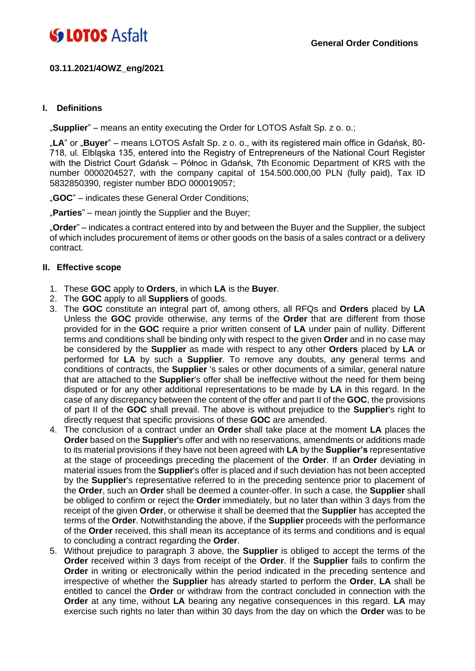### **03.11.2021/4OWZ\_eng/2021**

#### **I. Definitions**

"**Supplier**" – means an entity executing the Order for LOTOS Asfalt Sp. z o. o.;

"**LA**" or "**Buyer**" – means LOTOS Asfalt Sp. z o. o., with its registered main office in Gdańsk, 80- 718, ul. Elbląska 135, entered into the Registry of Entrepreneurs of the National Court Register with the District Court Gdańsk – Północ in Gdańsk, 7th Economic Department of KRS with the number 0000204527, with the company capital of 154.500.000,00 PLN (fully paid), Tax ID 5832850390, register number BDO 000019057;

"**GOC**" – indicates these General Order Conditions;

"Parties" – mean jointly the Supplier and the Buyer;

"**Order**" – indicates a contract entered into by and between the Buyer and the Supplier, the subject of which includes procurement of items or other goods on the basis of a sales contract or a delivery contract.

#### **II. Effective scope**

- 1. These **GOC** apply to **Orders**, in which **LA** is the **Buyer**.
- 2. The **GOC** apply to all **Suppliers** of goods.
- 3. The **GOC** constitute an integral part of, among others, all RFQs and **Orders** placed by **LA** Unless the **GOC** provide otherwise, any terms of the **Order** that are different from those provided for in the **GOC** require a prior written consent of **LA** under pain of nullity. Different terms and conditions shall be binding only with respect to the given **Order** and in no case may be considered by the **Supplier** as made with respect to any other **Orders** placed by **LA** or performed for **LA** by such a **Supplier**. To remove any doubts, any general terms and conditions of contracts, the **Supplier** 's sales or other documents of a similar, general nature that are attached to the **Supplier**'s offer shall be ineffective without the need for them being disputed or for any other additional representations to be made by **LA** in this regard. In the case of any discrepancy between the content of the offer and part II of the **GOC**, the provisions of part II of the **GOC** shall prevail. The above is without prejudice to the **Supplier**'s right to directly request that specific provisions of these **GOC** are amended.
- 4. The conclusion of a contract under an **Order** shall take place at the moment **LA** places the **Order** based on the **Supplier**'s offer and with no reservations, amendments or additions made to its material provisions if they have not been agreed with **LA** by the **Supplier's** representative at the stage of proceedings preceding the placement of the **Order**. If an **Order** deviating in material issues from the **Supplier**'s offer is placed and if such deviation has not been accepted by the **Supplier**'s representative referred to in the preceding sentence prior to placement of the **Order**, such an **Order** shall be deemed a counter-offer. In such a case, the **Supplier** shall be obliged to confirm or reject the **Order** immediately, but no later than within 3 days from the receipt of the given **Order**, or otherwise it shall be deemed that the **Supplier** has accepted the terms of the **Order**. Notwithstanding the above, if the **Supplier** proceeds with the performance of the **Order** received, this shall mean its acceptance of its terms and conditions and is equal to concluding a contract regarding the **Order**.
- 5. Without prejudice to paragraph 3 above, the **Supplier** is obliged to accept the terms of the **Order** received within 3 days from receipt of the **Order**. If the **Supplier** fails to confirm the **Order** in writing or electronically within the period indicated in the preceding sentence and irrespective of whether the **Supplier** has already started to perform the **Order**, **LA** shall be entitled to cancel the **Order** or withdraw from the contract concluded in connection with the **Order** at any time, without **LA** bearing any negative consequences in this regard. **LA** may exercise such rights no later than within 30 days from the day on which the **Order** was to be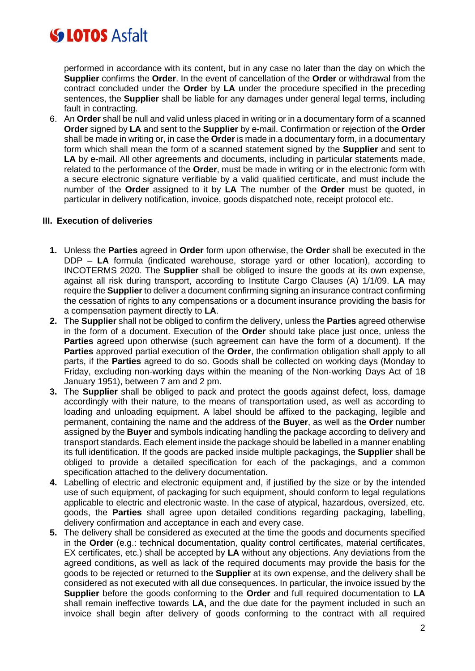performed in accordance with its content, but in any case no later than the day on which the **Supplier** confirms the **Order**. In the event of cancellation of the **Order** or withdrawal from the contract concluded under the **Order** by **LA** under the procedure specified in the preceding sentences, the **Supplier** shall be liable for any damages under general legal terms, including fault in contracting.

6. An **Order** shall be null and valid unless placed in writing or in a documentary form of a scanned **Order** signed by **LA** and sent to the **Supplier** by e-mail. Confirmation or rejection of the **Order** shall be made in writing or, in case the **Order** is made in a documentary form, in a documentary form which shall mean the form of a scanned statement signed by the **Supplier** and sent to **LA** by e-mail. All other agreements and documents, including in particular statements made, related to the performance of the **Order**, must be made in writing or in the electronic form with a secure electronic signature verifiable by a valid qualified certificate, and must include the number of the **Order** assigned to it by **LA** The number of the **Order** must be quoted, in particular in delivery notification, invoice, goods dispatched note, receipt protocol etc.

### **III. Execution of deliveries**

- **1.** Unless the **Parties** agreed in **Order** form upon otherwise, the **Order** shall be executed in the DDP – **LA** formula (indicated warehouse, storage yard or other location), according to INCOTERMS 2020. The **Supplier** shall be obliged to insure the goods at its own expense, against all risk during transport, according to Institute Cargo Clauses (A) 1/1/09. **LA** may require the **Supplier** to deliver a document confirming signing an insurance contract confirming the cessation of rights to any compensations or a document insurance providing the basis for a compensation payment directly to **LA**.
- **2.** The **Supplier** shall not be obliged to confirm the delivery, unless the **Parties** agreed otherwise in the form of a document. Execution of the **Order** should take place just once, unless the **Parties** agreed upon otherwise (such agreement can have the form of a document). If the **Parties** approved partial execution of the **Order**, the confirmation obligation shall apply to all parts, if the **Parties** agreed to do so. Goods shall be collected on working days (Monday to Friday, excluding non-working days within the meaning of the Non-working Days Act of 18 January 1951), between 7 am and 2 pm.
- **3.** The **Supplier** shall be obliged to pack and protect the goods against defect, loss, damage accordingly with their nature, to the means of transportation used, as well as according to loading and unloading equipment. A label should be affixed to the packaging, legible and permanent, containing the name and the address of the **Buyer**, as well as the **Order** number assigned by the **Buyer** and symbols indicating handling the package according to delivery and transport standards. Each element inside the package should be labelled in a manner enabling its full identification. If the goods are packed inside multiple packagings, the **Supplier** shall be obliged to provide a detailed specification for each of the packagings, and a common specification attached to the delivery documentation.
- **4.** Labelling of electric and electronic equipment and, if justified by the size or by the intended use of such equipment, of packaging for such equipment, should conform to legal regulations applicable to electric and electronic waste. In the case of atypical, hazardous, oversized, etc. goods, the **Parties** shall agree upon detailed conditions regarding packaging, labelling, delivery confirmation and acceptance in each and every case.
- **5.** The delivery shall be considered as executed at the time the goods and documents specified in the **Order** (e.g.: technical documentation, quality control certificates, material certificates, EX certificates, etc.) shall be accepted by **LA** without any objections. Any deviations from the agreed conditions, as well as lack of the required documents may provide the basis for the goods to be rejected or returned to the **Supplier** at its own expense, and the delivery shall be considered as not executed with all due consequences. In particular, the invoice issued by the **Supplier** before the goods conforming to the **Order** and full required documentation to **LA** shall remain ineffective towards **LA,** and the due date for the payment included in such an invoice shall begin after delivery of goods conforming to the contract with all required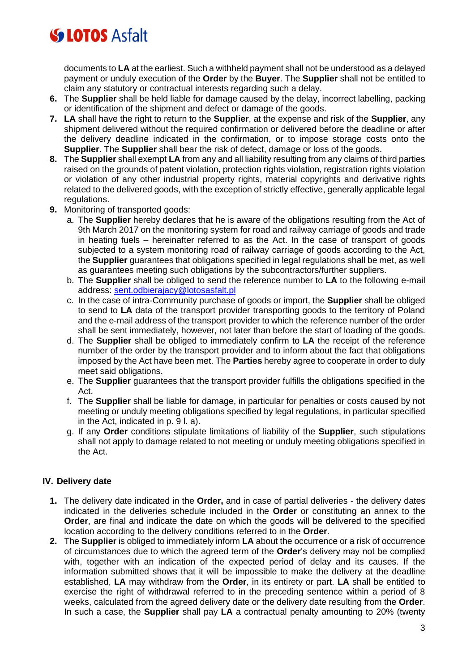documents to **LA** at the earliest. Such a withheld payment shall not be understood as a delayed payment or unduly execution of the **Order** by the **Buyer**. The **Supplier** shall not be entitled to claim any statutory or contractual interests regarding such a delay.

- **6.** The **Supplier** shall be held liable for damage caused by the delay, incorrect labelling, packing or identification of the shipment and defect or damage of the goods.
- **7. LA** shall have the right to return to the **Supplier**, at the expense and risk of the **Supplier**, any shipment delivered without the required confirmation or delivered before the deadline or after the delivery deadline indicated in the confirmation, or to impose storage costs onto the **Supplier**. The **Supplier** shall bear the risk of defect, damage or loss of the goods.
- **8.** The **Supplier** shall exempt **LA** from any and all liability resulting from any claims of third parties raised on the grounds of patent violation, protection rights violation, registration rights violation or violation of any other industrial property rights, material copyrights and derivative rights related to the delivered goods, with the exception of strictly effective, generally applicable legal regulations.
- **9.** Monitoring of transported goods:
	- a. The **Supplier** hereby declares that he is aware of the obligations resulting from the Act of 9th March 2017 on the monitoring system for road and railway carriage of goods and trade in heating fuels – hereinafter referred to as the Act. In the case of transport of goods subjected to a system monitoring road of railway carriage of goods according to the Act, the **Supplier** guarantees that obligations specified in legal regulations shall be met, as well as guarantees meeting such obligations by the subcontractors/further suppliers.
	- b. The **Supplier** shall be obliged to send the reference number to **LA** to the following e-mail address: [sent.odbierajacy@lotosasfalt.pl](mailto:sent.odbierajacy@lotosasfalt.pl)
	- c. In the case of intra-Community purchase of goods or import, the **Supplier** shall be obliged to send to **LA** data of the transport provider transporting goods to the territory of Poland and the e-mail address of the transport provider to which the reference number of the order shall be sent immediately, however, not later than before the start of loading of the goods.
	- d. The **Supplier** shall be obliged to immediately confirm to **LA** the receipt of the reference number of the order by the transport provider and to inform about the fact that obligations imposed by the Act have been met. The **Parties** hereby agree to cooperate in order to duly meet said obligations.
	- e. The **Supplier** guarantees that the transport provider fulfills the obligations specified in the Act.
	- f. The **Supplier** shall be liable for damage, in particular for penalties or costs caused by not meeting or unduly meeting obligations specified by legal regulations, in particular specified in the Act, indicated in p. 9 l. a).
	- g. If any **Order** conditions stipulate limitations of liability of the **Supplier**, such stipulations shall not apply to damage related to not meeting or unduly meeting obligations specified in the Act.

## **IV. Delivery date**

- **1.** The delivery date indicated in the **Order,** and in case of partial deliveries the delivery dates indicated in the deliveries schedule included in the **Order** or constituting an annex to the **Order**, are final and indicate the date on which the goods will be delivered to the specified location according to the delivery conditions referred to in the **Order**.
- **2.** The **Supplier** is obliged to immediately inform **LA** about the occurrence or a risk of occurrence of circumstances due to which the agreed term of the **Order**'s delivery may not be complied with, together with an indication of the expected period of delay and its causes. If the information submitted shows that it will be impossible to make the delivery at the deadline established, **LA** may withdraw from the **Order**, in its entirety or part. **LA** shall be entitled to exercise the right of withdrawal referred to in the preceding sentence within a period of 8 weeks, calculated from the agreed delivery date or the delivery date resulting from the **Order**. In such a case, the **Supplier** shall pay **LA** a contractual penalty amounting to 20% (twenty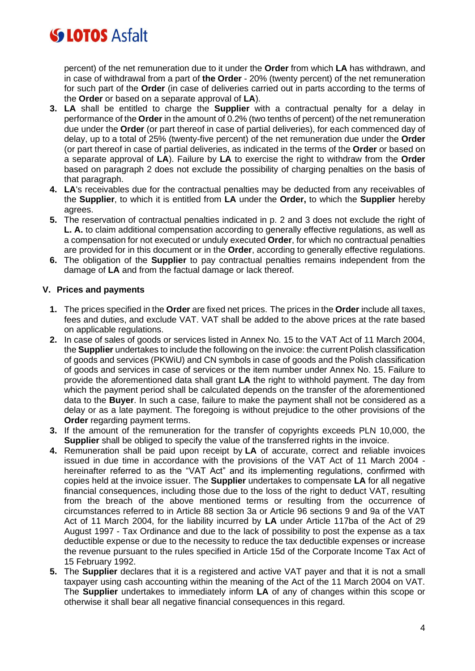percent) of the net remuneration due to it under the **Order** from which **LA** has withdrawn, and in case of withdrawal from a part of **the Order** - 20% (twenty percent) of the net remuneration for such part of the **Order** (in case of deliveries carried out in parts according to the terms of the **Order** or based on a separate approval of **LA**).

- **3. LA** shall be entitled to charge the **Supplier** with a contractual penalty for a delay in performance of the **Order** in the amount of 0.2% (two tenths of percent) of the net remuneration due under the **Order** (or part thereof in case of partial deliveries), for each commenced day of delay, up to a total of 25% (twenty-five percent) of the net remuneration due under the **Order** (or part thereof in case of partial deliveries, as indicated in the terms of the **Order** or based on a separate approval of **LA**). Failure by **LA** to exercise the right to withdraw from the **Order** based on paragraph 2 does not exclude the possibility of charging penalties on the basis of that paragraph.
- **4. LA**'s receivables due for the contractual penalties may be deducted from any receivables of the **Supplier**, to which it is entitled from **LA** under the **Order,** to which the **Supplier** hereby agrees.
- **5.** The reservation of contractual penalties indicated in p. 2 and 3 does not exclude the right of **L. A.** to claim additional compensation according to generally effective regulations, as well as a compensation for not executed or unduly executed **Order**, for which no contractual penalties are provided for in this document or in the **Order**, according to generally effective regulations.
- **6.** The obligation of the **Supplier** to pay contractual penalties remains independent from the damage of **LA** and from the factual damage or lack thereof.

### **V. Prices and payments**

- **1.** The prices specified in the **Order** are fixed net prices. The prices in the **Order** include all taxes, fees and duties, and exclude VAT. VAT shall be added to the above prices at the rate based on applicable regulations.
- **2.** In case of sales of goods or services listed in Annex No. 15 to the VAT Act of 11 March 2004, the **Supplier** undertakes to include the following on the invoice: the current Polish classification of goods and services (PKWiU) and CN symbols in case of goods and the Polish classification of goods and services in case of services or the item number under Annex No. 15. Failure to provide the aforementioned data shall grant **LA** the right to withhold payment. The day from which the payment period shall be calculated depends on the transfer of the aforementioned data to the **Buyer**. In such a case, failure to make the payment shall not be considered as a delay or as a late payment. The foregoing is without prejudice to the other provisions of the **Order** regarding payment terms.
- **3.** If the amount of the remuneration for the transfer of copyrights exceeds PLN 10,000, the **Supplier** shall be obliged to specify the value of the transferred rights in the invoice.
- **4.** Remuneration shall be paid upon receipt by **LA** of accurate, correct and reliable invoices issued in due time in accordance with the provisions of the VAT Act of 11 March 2004 hereinafter referred to as the "VAT Act" and its implementing regulations, confirmed with copies held at the invoice issuer. The **Supplier** undertakes to compensate **LA** for all negative financial consequences, including those due to the loss of the right to deduct VAT, resulting from the breach of the above mentioned terms or resulting from the occurrence of circumstances referred to in Article 88 section 3a or Article 96 sections 9 and 9a of the VAT Act of 11 March 2004, for the liability incurred by **LA** under Article 117ba of the Act of 29 August 1997 - Tax Ordinance and due to the lack of possibility to post the expense as a tax deductible expense or due to the necessity to reduce the tax deductible expenses or increase the revenue pursuant to the rules specified in Article 15d of the Corporate Income Tax Act of 15 February 1992.
- **5.** The **Supplier** declares that it is a registered and active VAT payer and that it is not a small taxpayer using cash accounting within the meaning of the Act of the 11 March 2004 on VAT. The **Supplier** undertakes to immediately inform **LA** of any of changes within this scope or otherwise it shall bear all negative financial consequences in this regard.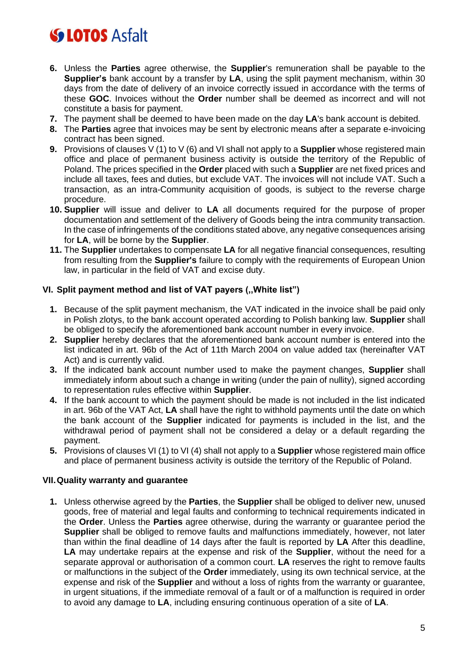- **6.** Unless the **Parties** agree otherwise, the **Supplier**'s remuneration shall be payable to the **Supplier's** bank account by a transfer by **LA**, using the split payment mechanism, within 30 days from the date of delivery of an invoice correctly issued in accordance with the terms of these **GOC**. Invoices without the **Order** number shall be deemed as incorrect and will not constitute a basis for payment.
- **7.** The payment shall be deemed to have been made on the day **LA**'s bank account is debited.
- **8.** The **Parties** agree that invoices may be sent by electronic means after a separate e-invoicing contract has been signed.
- **9.** Provisions of clauses V (1) to V (6) and VI shall not apply to a **Supplier** whose registered main office and place of permanent business activity is outside the territory of the Republic of Poland. The prices specified in the **Order** placed with such a **Supplier** are net fixed prices and include all taxes, fees and duties, but exclude VAT. The invoices will not include VAT. Such a transaction, as an intra-Community acquisition of goods, is subject to the reverse charge procedure.
- **10. Supplier** will issue and deliver to **LA** all documents required for the purpose of proper documentation and settlement of the delivery of Goods being the intra community transaction. In the case of infringements of the conditions stated above, any negative consequences arising for **LA**, will be borne by the **Supplier**.
- **11.** The **Supplier** undertakes to compensate **LA** for all negative financial consequences, resulting from resulting from the **Supplier's** failure to comply with the requirements of European Union law, in particular in the field of VAT and excise duty.

### **VI. Split payment method and list of VAT payers (,,White list")**

- **1.** Because of the split payment mechanism, the VAT indicated in the invoice shall be paid only in Polish zlotys, to the bank account operated according to Polish banking law. **Supplier** shall be obliged to specify the aforementioned bank account number in every invoice.
- **2. Supplier** hereby declares that the aforementioned bank account number is entered into the list indicated in art. 96b of the Act of 11th March 2004 on value added tax (hereinafter VAT Act) and is currently valid.
- **3.** If the indicated bank account number used to make the payment changes, **Supplier** shall immediately inform about such a change in writing (under the pain of nullity), signed according to representation rules effective within **Supplier**.
- **4.** If the bank account to which the payment should be made is not included in the list indicated in art. 96b of the VAT Act, **LA** shall have the right to withhold payments until the date on which the bank account of the **Supplier** indicated for payments is included in the list, and the withdrawal period of payment shall not be considered a delay or a default regarding the payment.
- **5.** Provisions of clauses VI (1) to VI (4) shall not apply to a **Supplier** whose registered main office and place of permanent business activity is outside the territory of the Republic of Poland.

### **VII.Quality warranty and guarantee**

**1.** Unless otherwise agreed by the **Parties**, the **Supplier** shall be obliged to deliver new, unused goods, free of material and legal faults and conforming to technical requirements indicated in the **Order**. Unless the **Parties** agree otherwise, during the warranty or guarantee period the **Supplier** shall be obliged to remove faults and malfunctions immediately, however, not later than within the final deadline of 14 days after the fault is reported by **LA** After this deadline, **LA** may undertake repairs at the expense and risk of the **Supplier**, without the need for a separate approval or authorisation of a common court. **LA** reserves the right to remove faults or malfunctions in the subject of the **Order** immediately, using its own technical service, at the expense and risk of the **Supplier** and without a loss of rights from the warranty or guarantee, in urgent situations, if the immediate removal of a fault or of a malfunction is required in order to avoid any damage to **LA**, including ensuring continuous operation of a site of **LA**.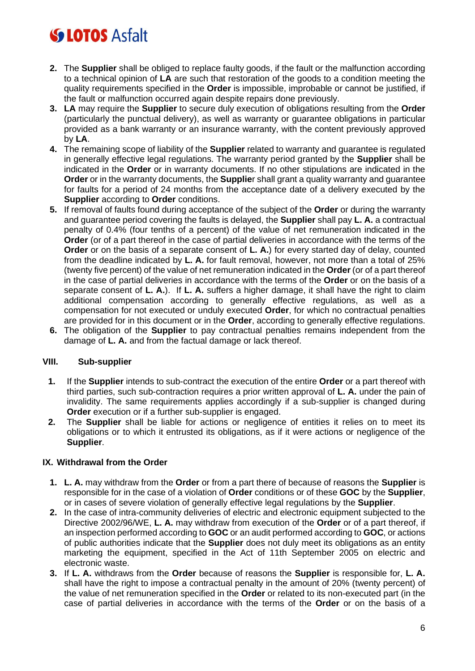- **2.** The **Supplier** shall be obliged to replace faulty goods, if the fault or the malfunction according to a technical opinion of **LA** are such that restoration of the goods to a condition meeting the quality requirements specified in the **Order** is impossible, improbable or cannot be justified, if the fault or malfunction occurred again despite repairs done previously.
- **3. LA** may require the **Supplier** to secure duly execution of obligations resulting from the **Order** (particularly the punctual delivery), as well as warranty or guarantee obligations in particular provided as a bank warranty or an insurance warranty, with the content previously approved by **LA**.
- **4.** The remaining scope of liability of the **Supplier** related to warranty and guarantee is regulated in generally effective legal regulations. The warranty period granted by the **Supplier** shall be indicated in the **Order** or in warranty documents. If no other stipulations are indicated in the **Order** or in the warranty documents, the **Supplie**r shall grant a quality warranty and guarantee for faults for a period of 24 months from the acceptance date of a delivery executed by the **Supplier** according to **Order** conditions.
- **5.** If removal of faults found during acceptance of the subject of the **Order** or during the warranty and guarantee period covering the faults is delayed, the **Supplier** shall pay **L. A.** a contractual penalty of 0.4% (four tenths of a percent) of the value of net remuneration indicated in the **Order** (or of a part thereof in the case of partial deliveries in accordance with the terms of the **Order** or on the basis of a separate consent of **L. A.**) for every started day of delay, counted from the deadline indicated by **L. A.** for fault removal, however, not more than a total of 25% (twenty five percent) of the value of net remuneration indicated in the **Order** (or of a part thereof in the case of partial deliveries in accordance with the terms of the **Order** or on the basis of a separate consent of **L. A.**). If **L. A.** suffers a higher damage, it shall have the right to claim additional compensation according to generally effective regulations, as well as a compensation for not executed or unduly executed **Order**, for which no contractual penalties are provided for in this document or in the **Order**, according to generally effective regulations.
- **6.** The obligation of the **Supplier** to pay contractual penalties remains independent from the damage of **L. A.** and from the factual damage or lack thereof.

### **VIII. Sub-supplier**

- **1.** If the **Supplier** intends to sub-contract the execution of the entire **Order** or a part thereof with third parties, such sub-contraction requires a prior written approval of **L. A.** under the pain of invalidity. The same requirements applies accordingly if a sub-supplier is changed during **Order** execution or if a further sub-supplier is engaged.
- **2.** The **Supplier** shall be liable for actions or negligence of entities it relies on to meet its obligations or to which it entrusted its obligations, as if it were actions or negligence of the **Supplier**.

## **IX. Withdrawal from the Order**

- **1. L. A.** may withdraw from the **Order** or from a part there of because of reasons the **Supplier** is responsible for in the case of a violation of **Order** conditions or of these **GOC** by the **Supplier**, or in cases of severe violation of generally effective legal regulations by the **Supplier**.
- **2.** In the case of intra-community deliveries of electric and electronic equipment subjected to the Directive 2002/96/WE, **L. A.** may withdraw from execution of the **Order** or of a part thereof, if an inspection performed according to **GOC** or an audit performed according to **GOC**, or actions of public authorities indicate that the **Supplier** does not duly meet its obligations as an entity marketing the equipment, specified in the Act of 11th September 2005 on electric and electronic waste.
- **3.** If **L. A.** withdraws from the **Order** because of reasons the **Supplier** is responsible for, **L. A.** shall have the right to impose a contractual penalty in the amount of 20% (twenty percent) of the value of net remuneration specified in the **Order** or related to its non-executed part (in the case of partial deliveries in accordance with the terms of the **Order** or on the basis of a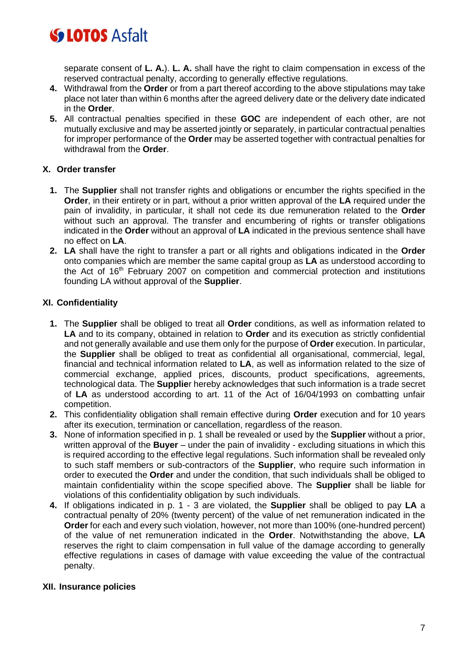separate consent of **L. A.**). **L. A.** shall have the right to claim compensation in excess of the reserved contractual penalty, according to generally effective regulations.

- **4.** Withdrawal from the **Order** or from a part thereof according to the above stipulations may take place not later than within 6 months after the agreed delivery date or the delivery date indicated in the **Order**.
- **5.** All contractual penalties specified in these **GOC** are independent of each other, are not mutually exclusive and may be asserted jointly or separately, in particular contractual penalties for improper performance of the **Order** may be asserted together with contractual penalties for withdrawal from the **Order**.

### **X. Order transfer**

- **1.** The **Supplier** shall not transfer rights and obligations or encumber the rights specified in the **Order**, in their entirety or in part, without a prior written approval of the **LA** required under the pain of invalidity, in particular, it shall not cede its due remuneration related to the **Order** without such an approval. The transfer and encumbering of rights or transfer obligations indicated in the **Order** without an approval of **LA** indicated in the previous sentence shall have no effect on **LA**.
- **2. LA** shall have the right to transfer a part or all rights and obligations indicated in the **Order** onto companies which are member the same capital group as **LA** as understood according to the Act of 16<sup>th</sup> February 2007 on competition and commercial protection and institutions founding LA without approval of the **Supplier**.

## **XI. Confidentiality**

- **1.** The **Supplier** shall be obliged to treat all **Order** conditions, as well as information related to **LA** and to its company, obtained in relation to **Order** and its execution as strictly confidential and not generally available and use them only for the purpose of **Order** execution. In particular, the **Supplier** shall be obliged to treat as confidential all organisational, commercial, legal, financial and technical information related to **LA**, as well as information related to the size of commercial exchange, applied prices, discounts, product specifications, agreements, technological data. The **Supplie**r hereby acknowledges that such information is a trade secret of **LA** as understood according to art. 11 of the Act of 16/04/1993 on combatting unfair competition.
- **2.** This confidentiality obligation shall remain effective during **Order** execution and for 10 years after its execution, termination or cancellation, regardless of the reason.
- **3.** None of information specified in p. 1 shall be revealed or used by the **Supplier** without a prior, written approval of the **Buyer** – under the pain of invalidity - excluding situations in which this is required according to the effective legal regulations. Such information shall be revealed only to such staff members or sub-contractors of the **Supplier**, who require such information in order to executed the **Order** and under the condition, that such individuals shall be obliged to maintain confidentiality within the scope specified above. The **Supplier** shall be liable for violations of this confidentiality obligation by such individuals.
- **4.** If obligations indicated in p. 1 3 are violated, the **Supplier** shall be obliged to pay **LA** a contractual penalty of 20% (twenty percent) of the value of net remuneration indicated in the **Order** for each and every such violation, however, not more than 100% (one-hundred percent) of the value of net remuneration indicated in the **Order**. Notwithstanding the above, **LA** reserves the right to claim compensation in full value of the damage according to generally effective regulations in cases of damage with value exceeding the value of the contractual penalty.

### **XII. Insurance policies**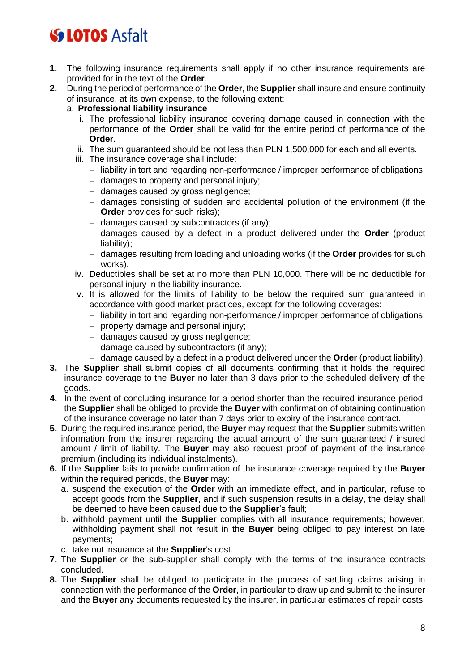- **1.** The following insurance requirements shall apply if no other insurance requirements are provided for in the text of the **Order**.
- **2.** During the period of performance of the **Order**, the **Supplier** shall insure and ensure continuity of insurance, at its own expense, to the following extent:
	- a. **Professional liability insurance**
		- i. The professional liability insurance covering damage caused in connection with the performance of the **Order** shall be valid for the entire period of performance of the **Order**.
		- ii. The sum guaranteed should be not less than PLN 1,500,000 for each and all events.
		- iii. The insurance coverage shall include:
			- − liability in tort and regarding non-performance / improper performance of obligations;
			- − damages to property and personal injury;
			- − damages caused by gross negligence;
			- − damages consisting of sudden and accidental pollution of the environment (if the **Order** provides for such risks);
			- − damages caused by subcontractors (if any);
			- − damages caused by a defect in a product delivered under the **Order** (product liability);
			- − damages resulting from loading and unloading works (if the **Order** provides for such works).
		- iv. Deductibles shall be set at no more than PLN 10,000. There will be no deductible for personal injury in the liability insurance.
		- v. It is allowed for the limits of liability to be below the required sum guaranteed in accordance with good market practices, except for the following coverages:
			- − liability in tort and regarding non-performance / improper performance of obligations;
			- − property damage and personal injury;
			- − damages caused by gross negligence;
			- − damage caused by subcontractors (if any);
			- − damage caused by a defect in a product delivered under the **Order** (product liability).
- **3.** The **Supplier** shall submit copies of all documents confirming that it holds the required insurance coverage to the **Buyer** no later than 3 days prior to the scheduled delivery of the goods.
- **4.** In the event of concluding insurance for a period shorter than the required insurance period, the **Supplier** shall be obliged to provide the **Buyer** with confirmation of obtaining continuation of the insurance coverage no later than 7 days prior to expiry of the insurance contract.
- **5.** During the required insurance period, the **Buyer** may request that the **Supplier** submits written information from the insurer regarding the actual amount of the sum guaranteed / insured amount / limit of liability. The **Buyer** may also request proof of payment of the insurance premium (including its individual instalments).
- **6.** If the **Supplier** fails to provide confirmation of the insurance coverage required by the **Buyer**  within the required periods, the **Buyer** may:
	- a. suspend the execution of the **Order** with an immediate effect, and in particular, refuse to accept goods from the **Supplier**, and if such suspension results in a delay, the delay shall be deemed to have been caused due to the **Supplier**'s fault;
	- b. withhold payment until the **Supplier** complies with all insurance requirements; however, withholding payment shall not result in the **Buyer** being obliged to pay interest on late payments;
	- c. take out insurance at the **Supplier**'s cost.
- **7.** The **Supplier** or the sub-supplier shall comply with the terms of the insurance contracts concluded.
- **8.** The **Supplier** shall be obliged to participate in the process of settling claims arising in connection with the performance of the **Order**, in particular to draw up and submit to the insurer and the **Buyer** any documents requested by the insurer, in particular estimates of repair costs.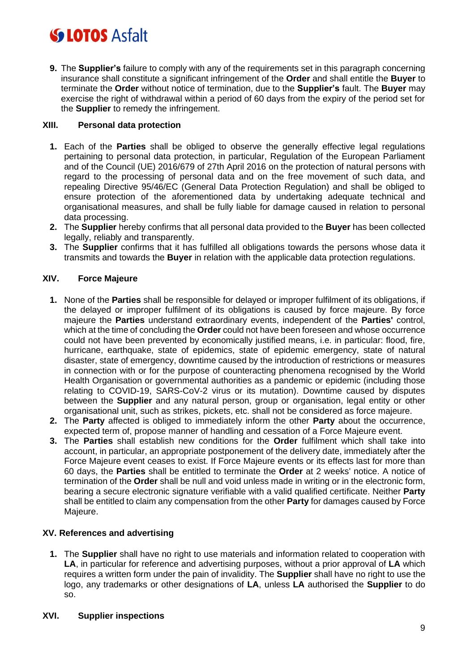**9.** The **Supplier's** failure to comply with any of the requirements set in this paragraph concerning insurance shall constitute a significant infringement of the **Order** and shall entitle the **Buyer** to terminate the **Order** without notice of termination, due to the **Supplier's** fault. The **Buyer** may exercise the right of withdrawal within a period of 60 days from the expiry of the period set for the **Supplier** to remedy the infringement.

### **XIII. Personal data protection**

- **1.** Each of the **Parties** shall be obliged to observe the generally effective legal regulations pertaining to personal data protection, in particular, Regulation of the European Parliament and of the Council (UE) 2016/679 of 27th April 2016 on the protection of natural persons with regard to the processing of personal data and on the free movement of such data, and repealing Directive 95/46/EC (General Data Protection Regulation) and shall be obliged to ensure protection of the aforementioned data by undertaking adequate technical and organisational measures, and shall be fully liable for damage caused in relation to personal data processing.
- **2.** The **Supplier** hereby confirms that all personal data provided to the **Buyer** has been collected legally, reliably and transparently.
- **3.** The **Supplier** confirms that it has fulfilled all obligations towards the persons whose data it transmits and towards the **Buyer** in relation with the applicable data protection regulations.

### **XIV. Force Majeure**

- **1.** None of the **Parties** shall be responsible for delayed or improper fulfilment of its obligations, if the delayed or improper fulfilment of its obligations is caused by force majeure. By force majeure the **Parties** understand extraordinary events, independent of the **Parties'** control, which at the time of concluding the **Order** could not have been foreseen and whose occurrence could not have been prevented by economically justified means, i.e. in particular: flood, fire, hurricane, earthquake, state of epidemics, state of epidemic emergency, state of natural disaster, state of emergency, downtime caused by the introduction of restrictions or measures in connection with or for the purpose of counteracting phenomena recognised by the World Health Organisation or governmental authorities as a pandemic or epidemic (including those relating to COVID-19, SARS-CoV-2 virus or its mutation). Downtime caused by disputes between the **Supplier** and any natural person, group or organisation, legal entity or other organisational unit, such as strikes, pickets, etc. shall not be considered as force majeure.
- **2.** The **Party** affected is obliged to immediately inform the other **Party** about the occurrence, expected term of, propose manner of handling and cessation of a Force Majeure event.
- **3.** The **Parties** shall establish new conditions for the **Order** fulfilment which shall take into account, in particular, an appropriate postponement of the delivery date, immediately after the Force Majeure event ceases to exist. If Force Majeure events or its effects last for more than 60 days, the **Parties** shall be entitled to terminate the **Order** at 2 weeks' notice. A notice of termination of the **Order** shall be null and void unless made in writing or in the electronic form, bearing a secure electronic signature verifiable with a valid qualified certificate. Neither **Party** shall be entitled to claim any compensation from the other **Party** for damages caused by Force Majeure.

### **XV. References and advertising**

**1.** The **Supplier** shall have no right to use materials and information related to cooperation with **LA**, in particular for reference and advertising purposes, without a prior approval of **LA** which requires a written form under the pain of invalidity. The **Supplier** shall have no right to use the logo, any trademarks or other designations of **LA**, unless **LA** authorised the **Supplier** to do so.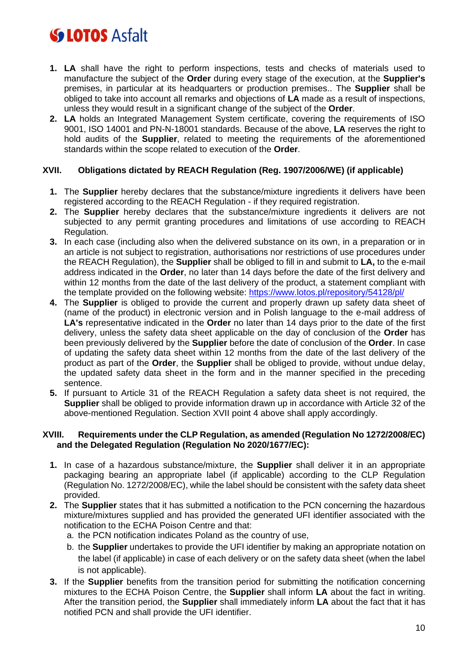- **1. LA** shall have the right to perform inspections, tests and checks of materials used to manufacture the subject of the **Order** during every stage of the execution, at the **Supplier's** premises, in particular at its headquarters or production premises.. The **Supplier** shall be obliged to take into account all remarks and objections of **LA** made as a result of inspections, unless they would result in a significant change of the subject of the **Order**.
- **2. LA** holds an Integrated Management System certificate, covering the requirements of ISO 9001, ISO 14001 and PN-N-18001 standards. Because of the above, **LA** reserves the right to hold audits of the **Supplier**, related to meeting the requirements of the aforementioned standards within the scope related to execution of the **Order**.

### **XVII. Obligations dictated by REACH Regulation (Reg. 1907/2006/WE) (if applicable)**

- **1.** The **Supplier** hereby declares that the substance/mixture ingredients it delivers have been registered according to the REACH Regulation - if they required registration.
- **2.** The **Supplier** hereby declares that the substance/mixture ingredients it delivers are not subjected to any permit granting procedures and limitations of use according to REACH Regulation.
- **3.** In each case (including also when the delivered substance on its own, in a preparation or in an article is not subject to registration, authorisations nor restrictions of use procedures under the REACH Regulation), the **Supplier** shall be obliged to fill in and submit to **LA,** to the e-mail address indicated in the **Order**, no later than 14 days before the date of the first delivery and within 12 months from the date of the last delivery of the product, a statement compliant with the template provided on the following website:<https://www.lotos.pl/repository/54128/pl/>
- **4.** The **Supplier** is obliged to provide the current and properly drawn up safety data sheet of (name of the product) in electronic version and in Polish language to the e-mail address of **LA's** representative indicated in the **Order** no later than 14 days prior to the date of the first delivery, unless the safety data sheet applicable on the day of conclusion of the **Order** has been previously delivered by the **Supplier** before the date of conclusion of the **Order**. In case of updating the safety data sheet within 12 months from the date of the last delivery of the product as part of the **Order**, the **Supplier** shall be obliged to provide, without undue delay, the updated safety data sheet in the form and in the manner specified in the preceding sentence.
- **5.** If pursuant to Article 31 of the REACH Regulation a safety data sheet is not required, the **Supplier** shall be obliged to provide information drawn up in accordance with Article 32 of the above-mentioned Regulation. Section XVII point 4 above shall apply accordingly.

#### **XVIII. Requirements under the CLP Regulation, as amended (Regulation No 1272/2008/EC) and the Delegated Regulation (Regulation No 2020/1677/EC):**

- **1.** In case of a hazardous substance/mixture, the **Supplier** shall deliver it in an appropriate packaging bearing an appropriate label (if applicable) according to the CLP Regulation (Regulation No. 1272/2008/EC), while the label should be consistent with the safety data sheet provided.
- **2.** The **Supplier** states that it has submitted a notification to the PCN concerning the hazardous mixture/mixtures supplied and has provided the generated UFI identifier associated with the notification to the ECHA Poison Centre and that:
	- a. the PCN notification indicates Poland as the country of use,
	- b. the **Supplier** undertakes to provide the UFI identifier by making an appropriate notation on the label (if applicable) in case of each delivery or on the safety data sheet (when the label is not applicable).
- **3.** If the **Supplier** benefits from the transition period for submitting the notification concerning mixtures to the ECHA Poison Centre, the **Supplier** shall inform **LA** about the fact in writing. After the transition period, the **Supplier** shall immediately inform **LA** about the fact that it has notified PCN and shall provide the UFI identifier.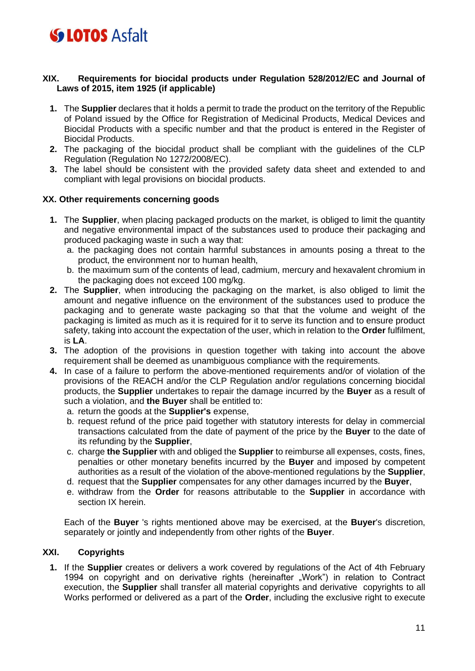### **XIX. Requirements for biocidal products under Regulation 528/2012/EC and Journal of Laws of 2015, item 1925 (if applicable)**

- **1.** The **Supplier** declares that it holds a permit to trade the product on the territory of the Republic of Poland issued by the Office for Registration of Medicinal Products, Medical Devices and Biocidal Products with a specific number and that the product is entered in the Register of Biocidal Products.
- **2.** The packaging of the biocidal product shall be compliant with the guidelines of the CLP Regulation (Regulation No 1272/2008/EC).
- **3.** The label should be consistent with the provided safety data sheet and extended to and compliant with legal provisions on biocidal products.

### **XX. Other requirements concerning goods**

- **1.** The **Supplier**, when placing packaged products on the market, is obliged to limit the quantity and negative environmental impact of the substances used to produce their packaging and produced packaging waste in such a way that:
	- a. the packaging does not contain harmful substances in amounts posing a threat to the product, the environment nor to human health,
	- b. the maximum sum of the contents of lead, cadmium, mercury and hexavalent chromium in the packaging does not exceed 100 mg/kg.
- **2.** The **Supplier**, when introducing the packaging on the market, is also obliged to limit the amount and negative influence on the environment of the substances used to produce the packaging and to generate waste packaging so that that the volume and weight of the packaging is limited as much as it is required for it to serve its function and to ensure product safety, taking into account the expectation of the user, which in relation to the **Order** fulfilment, is **LA**.
- **3.** The adoption of the provisions in question together with taking into account the above requirement shall be deemed as unambiguous compliance with the requirements.
- **4.** In case of a failure to perform the above-mentioned requirements and/or of violation of the provisions of the REACH and/or the CLP Regulation and/or regulations concerning biocidal products, the **Supplier** undertakes to repair the damage incurred by the **Buyer** as a result of such a violation, and **the Buyer** shall be entitled to:
	- a. return the goods at the **Supplier's** expense,
	- b. request refund of the price paid together with statutory interests for delay in commercial transactions calculated from the date of payment of the price by the **Buyer** to the date of its refunding by the **Supplier**,
	- c. charge **the Supplier** with and obliged the **Supplier** to reimburse all expenses, costs, fines, penalties or other monetary benefits incurred by the **Buyer** and imposed by competent authorities as a result of the violation of the above-mentioned regulations by the **Supplier**,
	- d. request that the **Supplier** compensates for any other damages incurred by the **Buyer**,
	- e. withdraw from the **Order** for reasons attributable to the **Supplier** in accordance with section IX herein.

Each of the **Buyer** 's rights mentioned above may be exercised, at the **Buyer**'s discretion, separately or jointly and independently from other rights of the **Buyer**.

## **XXI. Copyrights**

**1.** If the **Supplier** creates or delivers a work covered by regulations of the Act of 4th February 1994 on copyright and on derivative rights (hereinafter "Work") in relation to Contract execution, the **Supplier** shall transfer all material copyrights and derivative copyrights to all Works performed or delivered as a part of the **Order**, including the exclusive right to execute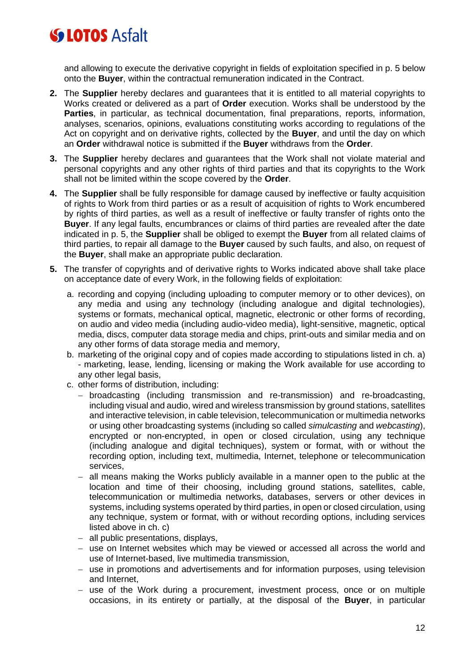and allowing to execute the derivative copyright in fields of exploitation specified in p. 5 below onto the **Buyer**, within the contractual remuneration indicated in the Contract.

- **2.** The **Supplier** hereby declares and guarantees that it is entitled to all material copyrights to Works created or delivered as a part of **Order** execution. Works shall be understood by the **Parties**, in particular, as technical documentation, final preparations, reports, information, analyses, scenarios, opinions, evaluations constituting works according to regulations of the Act on copyright and on derivative rights, collected by the **Buyer**, and until the day on which an **Order** withdrawal notice is submitted if the **Buyer** withdraws from the **Order**.
- **3.** The **Supplier** hereby declares and guarantees that the Work shall not violate material and personal copyrights and any other rights of third parties and that its copyrights to the Work shall not be limited within the scope covered by the **Order**.
- **4.** The **Supplier** shall be fully responsible for damage caused by ineffective or faulty acquisition of rights to Work from third parties or as a result of acquisition of rights to Work encumbered by rights of third parties, as well as a result of ineffective or faulty transfer of rights onto the **Buyer**. If any legal faults, encumbrances or claims of third parties are revealed after the date indicated in p. 5, the **Supplier** shall be obliged to exempt the **Buyer** from all related claims of third parties, to repair all damage to the **Buyer** caused by such faults, and also, on request of the **Buyer**, shall make an appropriate public declaration.
- **5.** The transfer of copyrights and of derivative rights to Works indicated above shall take place on acceptance date of every Work, in the following fields of exploitation:
	- a. recording and copying (including uploading to computer memory or to other devices), on any media and using any technology (including analogue and digital technologies), systems or formats, mechanical optical, magnetic, electronic or other forms of recording, on audio and video media (including audio-video media), light-sensitive, magnetic, optical media, discs, computer data storage media and chips, print-outs and similar media and on any other forms of data storage media and memory,
	- b. marketing of the original copy and of copies made according to stipulations listed in ch. a) - marketing, lease, lending, licensing or making the Work available for use according to any other legal basis,
	- c. other forms of distribution, including:
		- − broadcasting (including transmission and re-transmission) and re-broadcasting, including visual and audio, wired and wireless transmission by ground stations, satellites and interactive television, in cable television, telecommunication or multimedia networks or using other broadcasting systems (including so called *simulcasting* and *webcasting*), encrypted or non-encrypted, in open or closed circulation, using any technique (including analogue and digital techniques), system or format, with or without the recording option, including text, multimedia, Internet, telephone or telecommunication services,
		- − all means making the Works publicly available in a manner open to the public at the location and time of their choosing, including ground stations, satellites, cable, telecommunication or multimedia networks, databases, servers or other devices in systems, including systems operated by third parties, in open or closed circulation, using any technique, system or format, with or without recording options, including services listed above in ch. c)
		- − all public presentations, displays,
		- − use on Internet websites which may be viewed or accessed all across the world and use of Internet-based, live multimedia transmission,
		- − use in promotions and advertisements and for information purposes, using television and Internet,
		- − use of the Work during a procurement, investment process, once or on multiple occasions, in its entirety or partially, at the disposal of the **Buyer**, in particular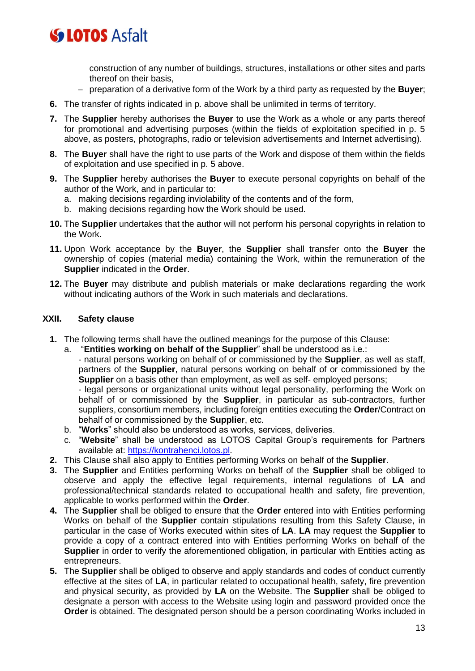construction of any number of buildings, structures, installations or other sites and parts thereof on their basis,

- − preparation of a derivative form of the Work by a third party as requested by the **Buyer**;
- **6.** The transfer of rights indicated in p. above shall be unlimited in terms of territory.
- **7.** The **Supplier** hereby authorises the **Buyer** to use the Work as a whole or any parts thereof for promotional and advertising purposes (within the fields of exploitation specified in p. 5 above, as posters, photographs, radio or television advertisements and Internet advertising).
- **8.** The **Buyer** shall have the right to use parts of the Work and dispose of them within the fields of exploitation and use specified in p. 5 above.
- **9.** The **Supplier** hereby authorises the **Buyer** to execute personal copyrights on behalf of the author of the Work, and in particular to:
	- a. making decisions regarding inviolability of the contents and of the form,
	- b. making decisions regarding how the Work should be used.
- **10.** The **Supplier** undertakes that the author will not perform his personal copyrights in relation to the Work.
- **11.** Upon Work acceptance by the **Buyer**, the **Supplier** shall transfer onto the **Buyer** the ownership of copies (material media) containing the Work, within the remuneration of the **Supplier** indicated in the **Order**.
- **12.** The **Buyer** may distribute and publish materials or make declarations regarding the work without indicating authors of the Work in such materials and declarations.

### **XXII. Safety clause**

- **1.** The following terms shall have the outlined meanings for the purpose of this Clause:
	- a. "**Entities working on behalf of the Supplier**" shall be understood as i.e.:
		- natural persons working on behalf of or commissioned by the **Supplier**, as well as staff, partners of the **Supplier**, natural persons working on behalf of or commissioned by the **Supplier** on a basis other than employment, as well as self- employed persons;

- legal persons or organizational units without legal personality, performing the Work on behalf of or commissioned by the **Supplier**, in particular as sub-contractors, further suppliers, consortium members, including foreign entities executing the **Order**/Contract on behalf of or commissioned by the **Supplier**, etc.

- b. "**Works**" should also be understood as works, services, deliveries.
- c. "**Website**" shall be understood as LOTOS Capital Group's requirements for Partners available at: [https://kontrahenci.lotos.pl.](about:blank)
- **2.** This Clause shall also apply to Entities performing Works on behalf of the **Supplier**.
- **3.** The **Supplier** and Entities performing Works on behalf of the **Supplier** shall be obliged to observe and apply the effective legal requirements, internal regulations of **LA** and professional/technical standards related to occupational health and safety, fire prevention, applicable to works performed within the **Order**.
- **4.** The **Supplier** shall be obliged to ensure that the **Order** entered into with Entities performing Works on behalf of the **Supplier** contain stipulations resulting from this Safety Clause, in particular in the case of Works executed within sites of **LA**. **LA** may request the **Supplier** to provide a copy of a contract entered into with Entities performing Works on behalf of the **Supplier** in order to verify the aforementioned obligation, in particular with Entities acting as entrepreneurs.
- **5.** The **Supplier** shall be obliged to observe and apply standards and codes of conduct currently effective at the sites of **LA**, in particular related to occupational health, safety, fire prevention and physical security, as provided by **LA** on the Website. The **Supplier** shall be obliged to designate a person with access to the Website using login and password provided once the **Order** is obtained. The designated person should be a person coordinating Works included in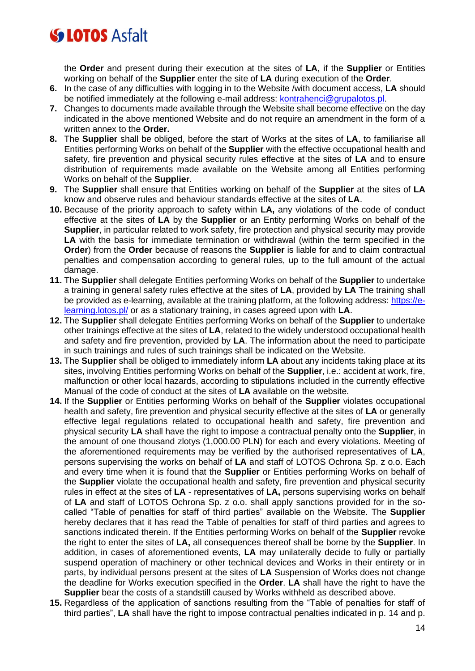the **Order** and present during their execution at the sites of **LA**, if the **Supplier** or Entities working on behalf of the **Supplier** enter the site of **LA** during execution of the **Order**.

- **6.** In the case of any difficulties with logging in to the Website /with document access, **LA** should be notified immediately at the following e-mail address: **kontrahenci@grupalotos.pl.**
- **7.** Changes to documents made available through the Website shall become effective on the day indicated in the above mentioned Website and do not require an amendment in the form of a written annex to the **Order.**
- **8.** The **Supplier** shall be obliged, before the start of Works at the sites of **LA**, to familiarise all Entities performing Works on behalf of the **Supplier** with the effective occupational health and safety, fire prevention and physical security rules effective at the sites of **LA** and to ensure distribution of requirements made available on the Website among all Entities performing Works on behalf of the **Supplier**.
- **9.** The **Supplier** shall ensure that Entities working on behalf of the **Supplier** at the sites of **LA** know and observe rules and behaviour standards effective at the sites of **LA**.
- **10.** Because of the priority approach to safety within **LA,** any violations of the code of conduct effective at the sites of **LA** by the **Supplier** or an Entity performing Works on behalf of the **Supplier**, in particular related to work safety, fire protection and physical security may provide LA with the basis for immediate termination or withdrawal (within the term specified in the **Order**) from the **Order** because of reasons the **Supplier** is liable for and to claim contractual penalties and compensation according to general rules, up to the full amount of the actual damage.
- **11.** The **Supplier** shall delegate Entities performing Works on behalf of the **Supplier** to undertake a training in general safety rules effective at the sites of **LA**, provided by **LA** The training shall be provided as e-learning, available at the training platform, at the following address: [https://e](about:blank)[learning.lotos.pl/](about:blank) or as a stationary training, in cases agreed upon with **LA**.
- **12.** The **Supplier** shall delegate Entities performing Works on behalf of the **Supplier** to undertake other trainings effective at the sites of **LA**, related to the widely understood occupational health and safety and fire prevention, provided by **LA**. The information about the need to participate in such trainings and rules of such trainings shall be indicated on the Website.
- **13.** The **Supplier** shall be obliged to immediately inform **LA** about any incidents taking place at its sites, involving Entities performing Works on behalf of the **Supplier**, i.e.: accident at work, fire, malfunction or other local hazards, according to stipulations included in the currently effective Manual of the code of conduct at the sites of **LA** available on the website.
- **14.** If the **Supplier** or Entities performing Works on behalf of the **Supplier** violates occupational health and safety, fire prevention and physical security effective at the sites of **LA** or generally effective legal regulations related to occupational health and safety, fire prevention and physical security **LA** shall have the right to impose a contractual penalty onto the **Supplier**, in the amount of one thousand zlotys (1,000.00 PLN) for each and every violations. Meeting of the aforementioned requirements may be verified by the authorised representatives of **LA**, persons supervising the works on behalf of **LA** and staff of LOTOS Ochrona Sp. z o.o. Each and every time when it is found that the **Supplier** or Entities performing Works on behalf of the **Supplier** violate the occupational health and safety, fire prevention and physical security rules in effect at the sites of **LA** - representatives of **LA,** persons supervising works on behalf of **LA** and staff of LOTOS Ochrona Sp. z o.o. shall apply sanctions provided for in the socalled "Table of penalties for staff of third parties" available on the Website. The **Supplier** hereby declares that it has read the Table of penalties for staff of third parties and agrees to sanctions indicated therein. If the Entities performing Works on behalf of the **Supplier** revoke the right to enter the sites of **LA,** all consequences thereof shall be borne by the **Supplier**. In addition, in cases of aforementioned events, **LA** may unilaterally decide to fully or partially suspend operation of machinery or other technical devices and Works in their entirety or in parts, by individual persons present at the sites of **LA** Suspension of Works does not change the deadline for Works execution specified in the **Order**. **LA** shall have the right to have the **Supplier** bear the costs of a standstill caused by Works withheld as described above.
- **15.** Regardless of the application of sanctions resulting from the "Table of penalties for staff of third parties", **LA** shall have the right to impose contractual penalties indicated in p. 14 and p.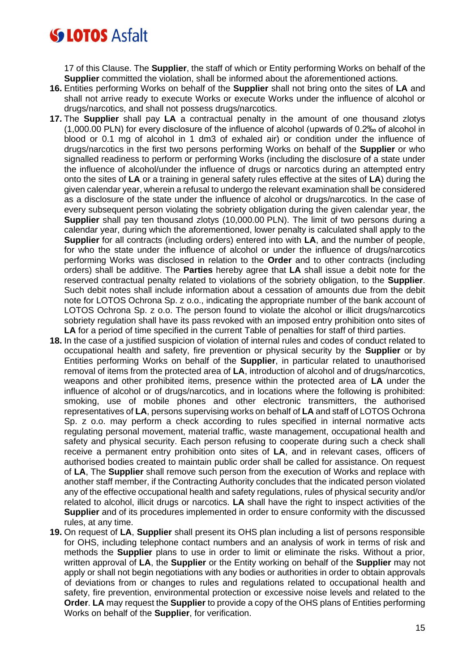17 of this Clause. The **Supplier**, the staff of which or Entity performing Works on behalf of the **Supplier** committed the violation, shall be informed about the aforementioned actions.

- **16.** Entities performing Works on behalf of the **Supplier** shall not bring onto the sites of **LA** and shall not arrive ready to execute Works or execute Works under the influence of alcohol or drugs/narcotics, and shall not possess drugs/narcotics.
- **17.** The **Supplier** shall pay **LA** a contractual penalty in the amount of one thousand zlotys (1,000.00 PLN) for every disclosure of the influence of alcohol (upwards of 0.2‰ of alcohol in blood or 0.1 mg of alcohol in 1 dm3 of exhaled air) or condition under the influence of drugs/narcotics in the first two persons performing Works on behalf of the **Supplier** or who signalled readiness to perform or performing Works (including the disclosure of a state under the influence of alcohol/under the influence of drugs or narcotics during an attempted entry onto the sites of **LA** or a training in general safety rules effective at the sites of **LA**) during the given calendar year, wherein a refusal to undergo the relevant examination shall be considered as a disclosure of the state under the influence of alcohol or drugs/narcotics. In the case of every subsequent person violating the sobriety obligation during the given calendar year, the **Supplier** shall pay ten thousand zlotys (10,000.00 PLN). The limit of two persons during a calendar year, during which the aforementioned, lower penalty is calculated shall apply to the **Supplier** for all contracts (including orders) entered into with **LA**, and the number of people, for who the state under the influence of alcohol or under the influence of drugs/narcotics performing Works was disclosed in relation to the **Order** and to other contracts (including orders) shall be additive. The **Parties** hereby agree that **LA** shall issue a debit note for the reserved contractual penalty related to violations of the sobriety obligation, to the **Supplier**. Such debit notes shall include information about a cessation of amounts due from the debit note for LOTOS Ochrona Sp. z o.o., indicating the appropriate number of the bank account of LOTOS Ochrona Sp. z o.o. The person found to violate the alcohol or illicit drugs/narcotics sobriety regulation shall have its pass revoked with an imposed entry prohibition onto sites of **LA** for a period of time specified in the current Table of penalties for staff of third parties.
- **18.** In the case of a justified suspicion of violation of internal rules and codes of conduct related to occupational health and safety, fire prevention or physical security by the **Supplier** or by Entities performing Works on behalf of the **Supplier**, in particular related to unauthorised removal of items from the protected area of **LA**, introduction of alcohol and of drugs/narcotics, weapons and other prohibited items, presence within the protected area of **LA** under the influence of alcohol or of drugs/narcotics, and in locations where the following is prohibited: smoking, use of mobile phones and other electronic transmitters, the authorised representatives of **LA**, persons supervising works on behalf of **LA** and staff of LOTOS Ochrona Sp. z o.o. may perform a check according to rules specified in internal normative acts regulating personal movement, material traffic, waste management, occupational health and safety and physical security. Each person refusing to cooperate during such a check shall receive a permanent entry prohibition onto sites of **LA**, and in relevant cases, officers of authorised bodies created to maintain public order shall be called for assistance. On request of **LA**, The **Supplier** shall remove such person from the execution of Works and replace with another staff member, if the Contracting Authority concludes that the indicated person violated any of the effective occupational health and safety regulations, rules of physical security and/or related to alcohol, illicit drugs or narcotics. **LA** shall have the right to inspect activities of the **Supplier** and of its procedures implemented in order to ensure conformity with the discussed rules, at any time.
- **19.** On request of **LA**, **Supplier** shall present its OHS plan including a list of persons responsible for OHS, including telephone contact numbers and an analysis of work in terms of risk and methods the **Supplier** plans to use in order to limit or eliminate the risks. Without a prior, written approval of **LA**, the **Supplier** or the Entity working on behalf of the **Supplier** may not apply or shall not begin negotiations with any bodies or authorities in order to obtain approvals of deviations from or changes to rules and regulations related to occupational health and safety, fire prevention, environmental protection or excessive noise levels and related to the **Order**. **LA** may request the **Supplier** to provide a copy of the OHS plans of Entities performing Works on behalf of the **Supplier**, for verification.